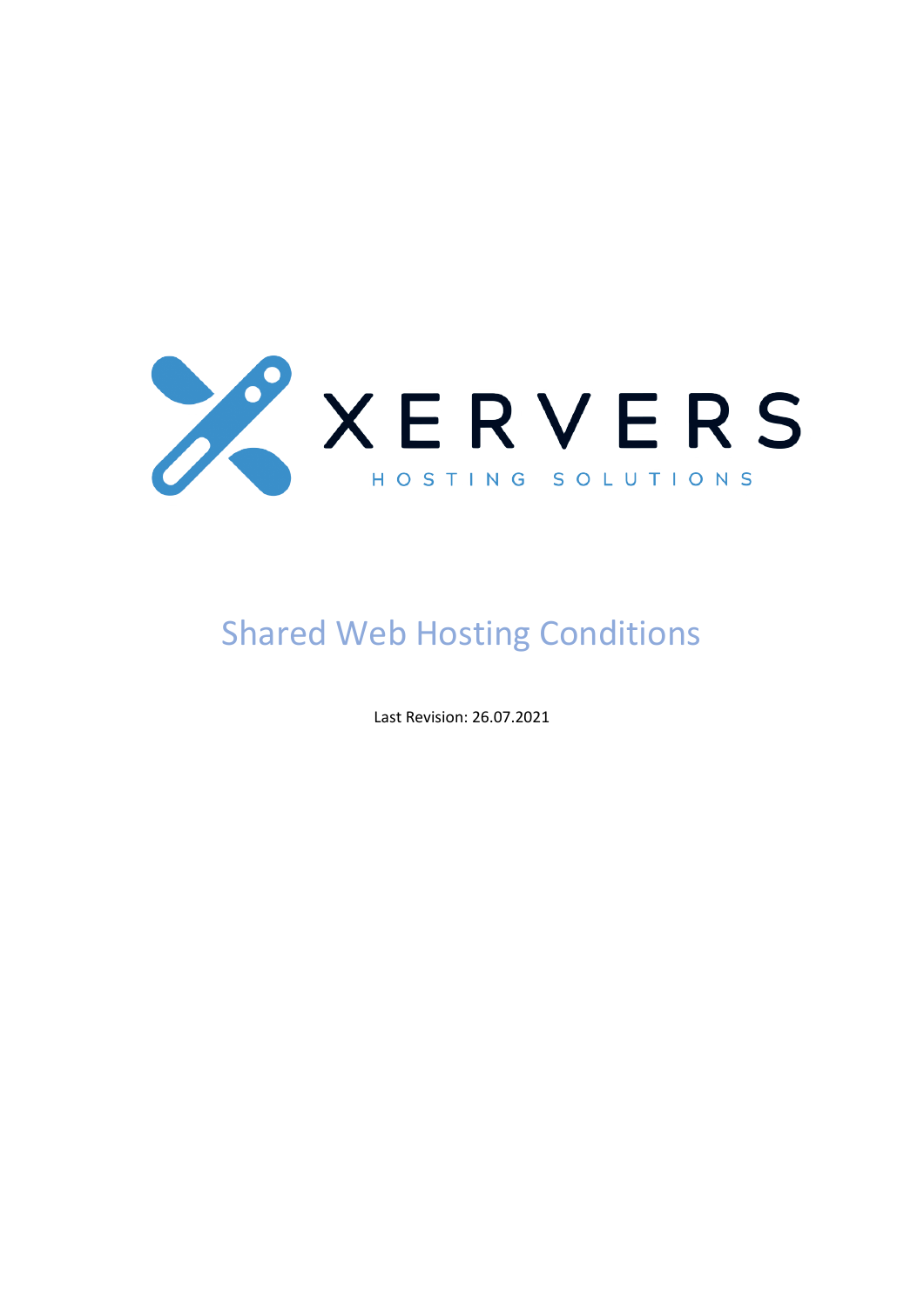

# Shared Web Hosting Conditions

Last Revision: 26.07.2021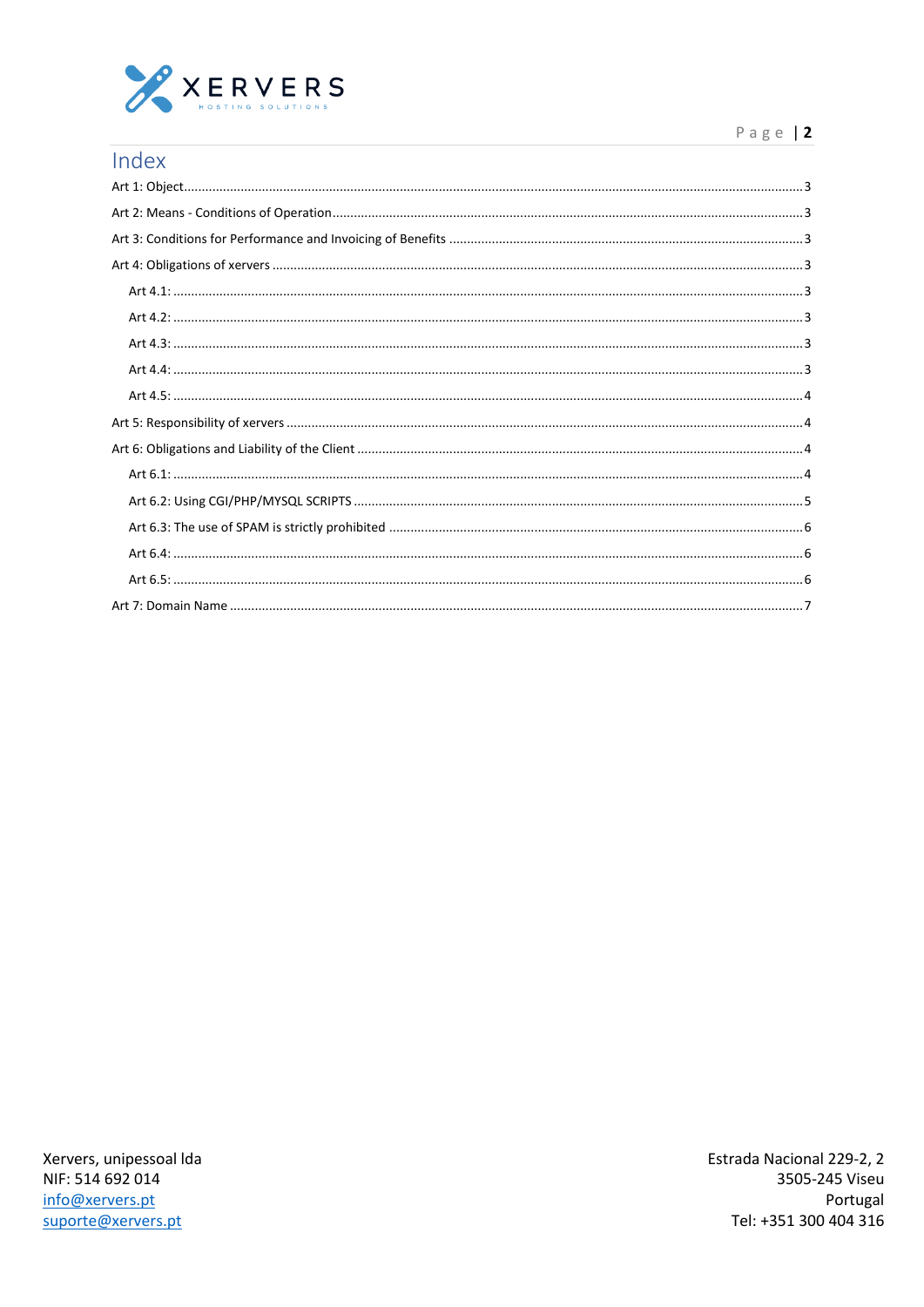

| Index |
|-------|
|       |
|       |
|       |
|       |
|       |
|       |
|       |
|       |
|       |
|       |
|       |
|       |
|       |
|       |
|       |
|       |
|       |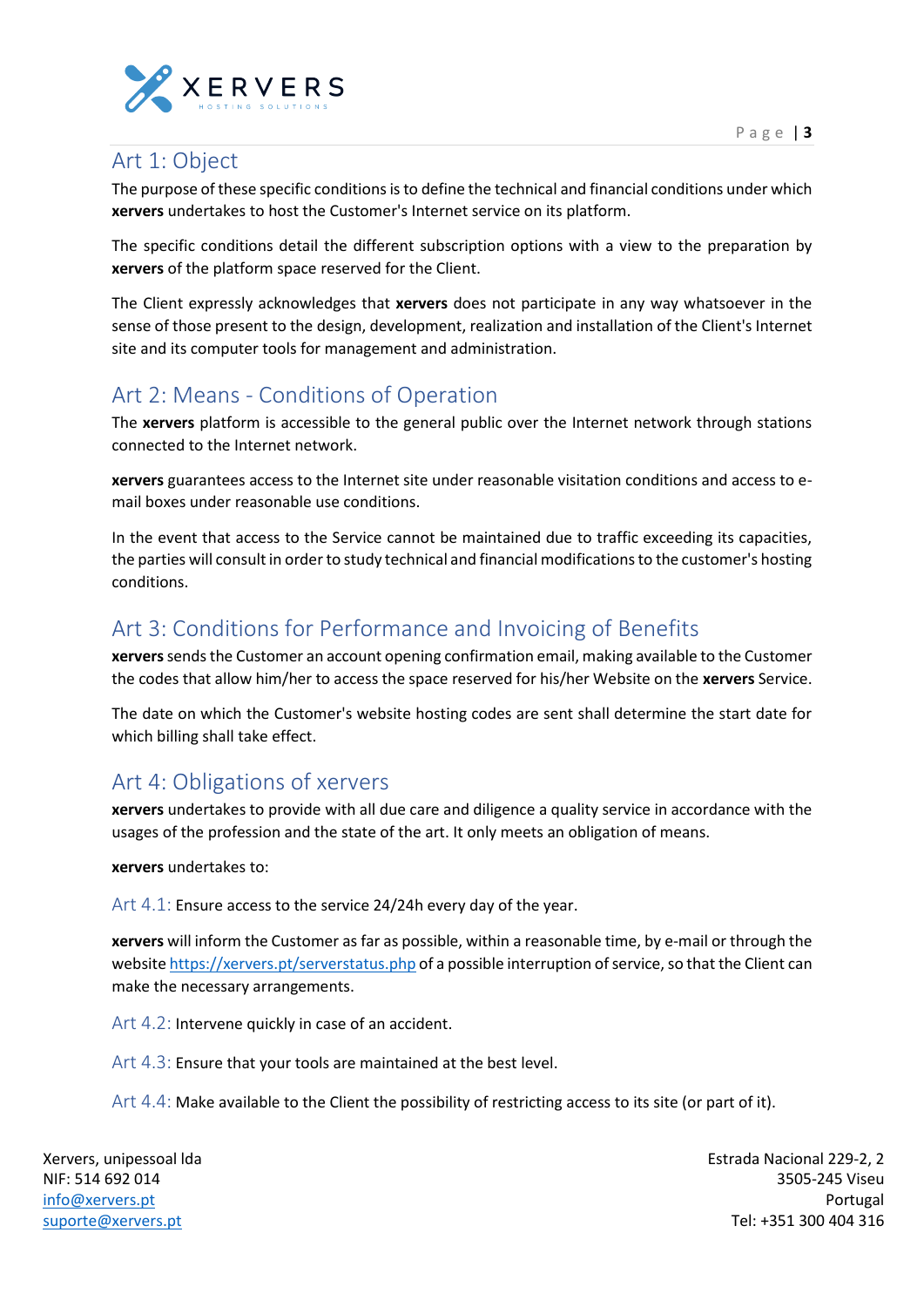

## <span id="page-2-0"></span>Art 1: Object

The purpose of these specific conditions is to define the technical and financial conditions under which **xervers** undertakes to host the Customer's Internet service on its platform.

The specific conditions detail the different subscription options with a view to the preparation by **xervers** of the platform space reserved for the Client.

The Client expressly acknowledges that **xervers** does not participate in any way whatsoever in the sense of those present to the design, development, realization and installation of the Client's Internet site and its computer tools for management and administration.

## <span id="page-2-1"></span>Art 2: Means - Conditions of Operation

The **xervers** platform is accessible to the general public over the Internet network through stations connected to the Internet network.

**xervers** guarantees access to the Internet site under reasonable visitation conditions and access to email boxes under reasonable use conditions.

In the event that access to the Service cannot be maintained due to traffic exceeding its capacities, the parties will consult in order to study technical and financial modifications to the customer's hosting conditions.

## <span id="page-2-2"></span>Art 3: Conditions for Performance and Invoicing of Benefits

**xervers**sends the Customer an account opening confirmation email, making available to the Customer the codes that allow him/her to access the space reserved for his/her Website on the **xervers** Service.

The date on which the Customer's website hosting codes are sent shall determine the start date for which billing shall take effect.

### <span id="page-2-3"></span>Art 4: Obligations of xervers

**xervers** undertakes to provide with all due care and diligence a quality service in accordance with the usages of the profession and the state of the art. It only meets an obligation of means.

#### **xervers** undertakes to:

<span id="page-2-4"></span>Art 4.1: Ensure access to the service 24/24h every day of the year.

**xervers** will inform the Customer as far as possible, within a reasonable time, by e-mail or through the website <https://xervers.pt/serverstatus.php> of a possible interruption of service, so that the Client can make the necessary arrangements.

<span id="page-2-5"></span>Art 4.2: Intervene quickly in case of an accident.

<span id="page-2-6"></span>Art 4.3: Ensure that your tools are maintained at the best level.

<span id="page-2-7"></span>Art 4.4: Make available to the Client the possibility of restricting access to its site (or part of it).

Xervers, unipessoal lda NIF: 514 692 014 [info@xervers.pt](mailto:info@xervers.pt) [suporte@xervers.pt](mailto:suporte@xervers.pt)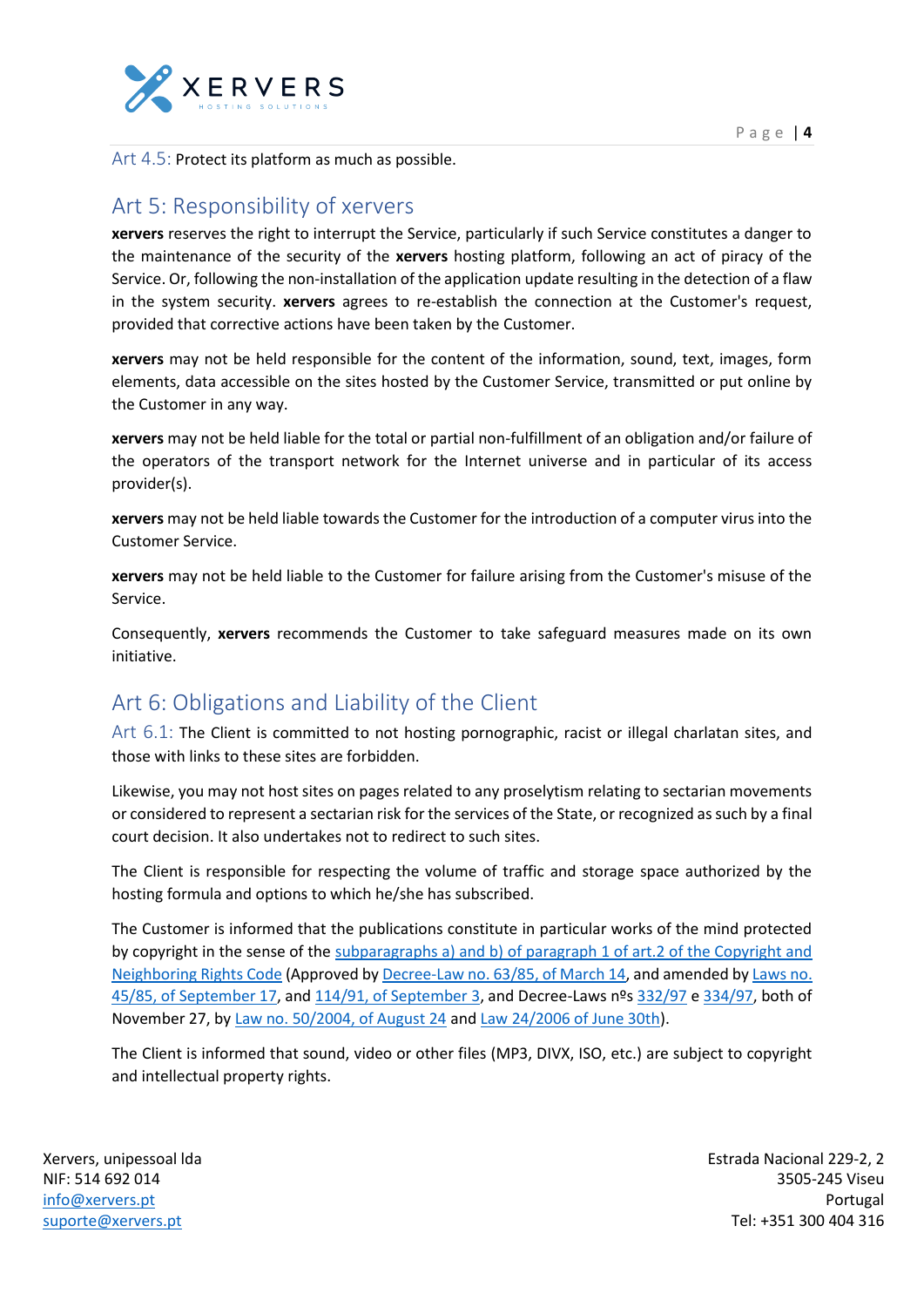

## <span id="page-3-1"></span><span id="page-3-0"></span>Art 5: Responsibility of xervers

**xervers** reserves the right to interrupt the Service, particularly if such Service constitutes a danger to the maintenance of the security of the **xervers** hosting platform, following an act of piracy of the Service. Or, following the non-installation of the application update resulting in the detection of a flaw in the system security. **xervers** agrees to re-establish the connection at the Customer's request, provided that corrective actions have been taken by the Customer.

**xervers** may not be held responsible for the content of the information, sound, text, images, form elements, data accessible on the sites hosted by the Customer Service, transmitted or put online by the Customer in any way.

**xervers** may not be held liable for the total or partial non-fulfillment of an obligation and/or failure of the operators of the transport network for the Internet universe and in particular of its access provider(s).

**xervers** may not be held liable towards the Customer for the introduction of a computer virus into the Customer Service.

**xervers** may not be held liable to the Customer for failure arising from the Customer's misuse of the Service.

Consequently, **xervers** recommends the Customer to take safeguard measures made on its own initiative.

### <span id="page-3-2"></span>Art 6: Obligations and Liability of the Client

<span id="page-3-3"></span>Art 6.1: The Client is committed to not hosting pornographic, racist or illegal charlatan sites, and those with links to these sites are forbidden.

Likewise, you may not host sites on pages related to any proselytism relating to sectarian movements or considered to represent a sectarian risk for the services of the State, or recognized as such by a final court decision. It also undertakes not to redirect to such sites.

The Client is responsible for respecting the volume of traffic and storage space authorized by the hosting formula and options to which he/she has subscribed.

The Customer is informed that the publications constitute in particular works of the mind protected by copyright in the sense of the subparagraphs a) and b) of paragraph 1 of art.2 of the Copyright and Neighboring Rights Code (Approved by Decree-Law no. 63/85, of March 14, and amended by Laws no. 45/85, of September 17, and 114/91, of September 3, and Decree-Laws nºs [332/97](https://dre.pt/web/guest/pesquisa/-/search/406493/details/normal?l=1) e [334/97,](https://dre.pt/web/guest/pesquisa/-/search/406483/details/normal?l=1) both of November 27, by Law no. 50/2004, of August 24 and Law 24/2006 of June 30th).

The Client is informed that sound, video or other files (MP3, DIVX, ISO, etc.) are subject to copyright and intellectual property rights.

Xervers, unipessoal lda NIF: 514 692 014 [info@xervers.pt](mailto:info@xervers.pt) [suporte@xervers.pt](mailto:suporte@xervers.pt)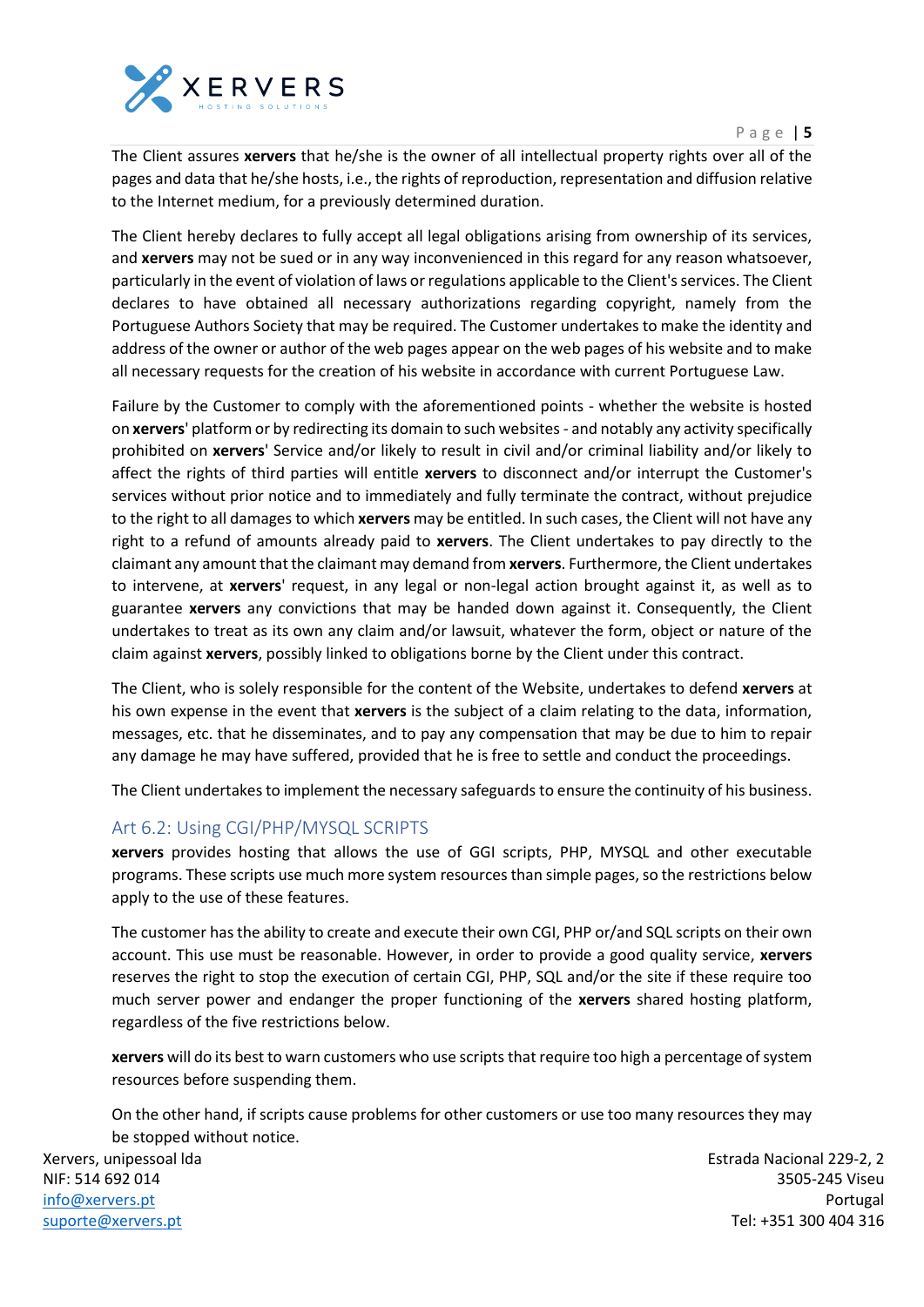

P a g e | **5**

The Client assures **xervers** that he/she is the owner of all intellectual property rights over all of the pages and data that he/she hosts, i.e., the rights of reproduction, representation and diffusion relative to the Internet medium, for a previously determined duration.

The Client hereby declares to fully accept all legal obligations arising from ownership of its services, and **xervers** may not be sued or in any way inconvenienced in this regard for any reason whatsoever, particularly in the event of violation of laws or regulations applicable to the Client's services. The Client declares to have obtained all necessary authorizations regarding copyright, namely from the Portuguese Authors Society that may be required. The Customer undertakes to make the identity and address of the owner or author of the web pages appear on the web pages of his website and to make all necessary requests for the creation of his website in accordance with current Portuguese Law.

Failure by the Customer to comply with the aforementioned points - whether the website is hosted on **xervers**' platform or by redirecting its domain to such websites - and notably any activity specifically prohibited on **xervers**' Service and/or likely to result in civil and/or criminal liability and/or likely to affect the rights of third parties will entitle **xervers** to disconnect and/or interrupt the Customer's services without prior notice and to immediately and fully terminate the contract, without prejudice to the right to all damages to which **xervers** may be entitled. In such cases, the Client will not have any right to a refund of amounts already paid to **xervers**. The Client undertakes to pay directly to the claimant any amount that the claimant may demand from **xervers**. Furthermore, the Client undertakes to intervene, at **xervers**' request, in any legal or non-legal action brought against it, as well as to guarantee **xervers** any convictions that may be handed down against it. Consequently, the Client undertakes to treat as its own any claim and/or lawsuit, whatever the form, object or nature of the claim against **xervers**, possibly linked to obligations borne by the Client under this contract.

The Client, who is solely responsible for the content of the Website, undertakes to defend **xervers** at his own expense in the event that **xervers** is the subject of a claim relating to the data, information, messages, etc. that he disseminates, and to pay any compensation that may be due to him to repair any damage he may have suffered, provided that he is free to settle and conduct the proceedings.

The Client undertakes to implement the necessary safeguards to ensure the continuity of his business.

#### <span id="page-4-0"></span>Art 6.2: Using CGI/PHP/MYSQL SCRIPTS

**xervers** provides hosting that allows the use of GGI scripts, PHP, MYSQL and other executable programs. These scripts use much more system resources than simple pages, so the restrictions below apply to the use of these features.

The customer has the ability to create and execute their own CGI, PHP or/and SQL scripts on their own account. This use must be reasonable. However, in order to provide a good quality service, **xervers** reserves the right to stop the execution of certain CGI, PHP, SQL and/or the site if these require too much server power and endanger the proper functioning of the **xervers** shared hosting platform, regardless of the five restrictions below.

**xervers** will do its best to warn customers who use scripts that require too high a percentage of system resources before suspending them.

On the other hand, if scripts cause problems for other customers or use too many resources they may be stopped without notice.

Xervers, unipessoal lda NIF: 514 692 014 [info@xervers.pt](mailto:info@xervers.pt) [suporte@xervers.pt](mailto:suporte@xervers.pt)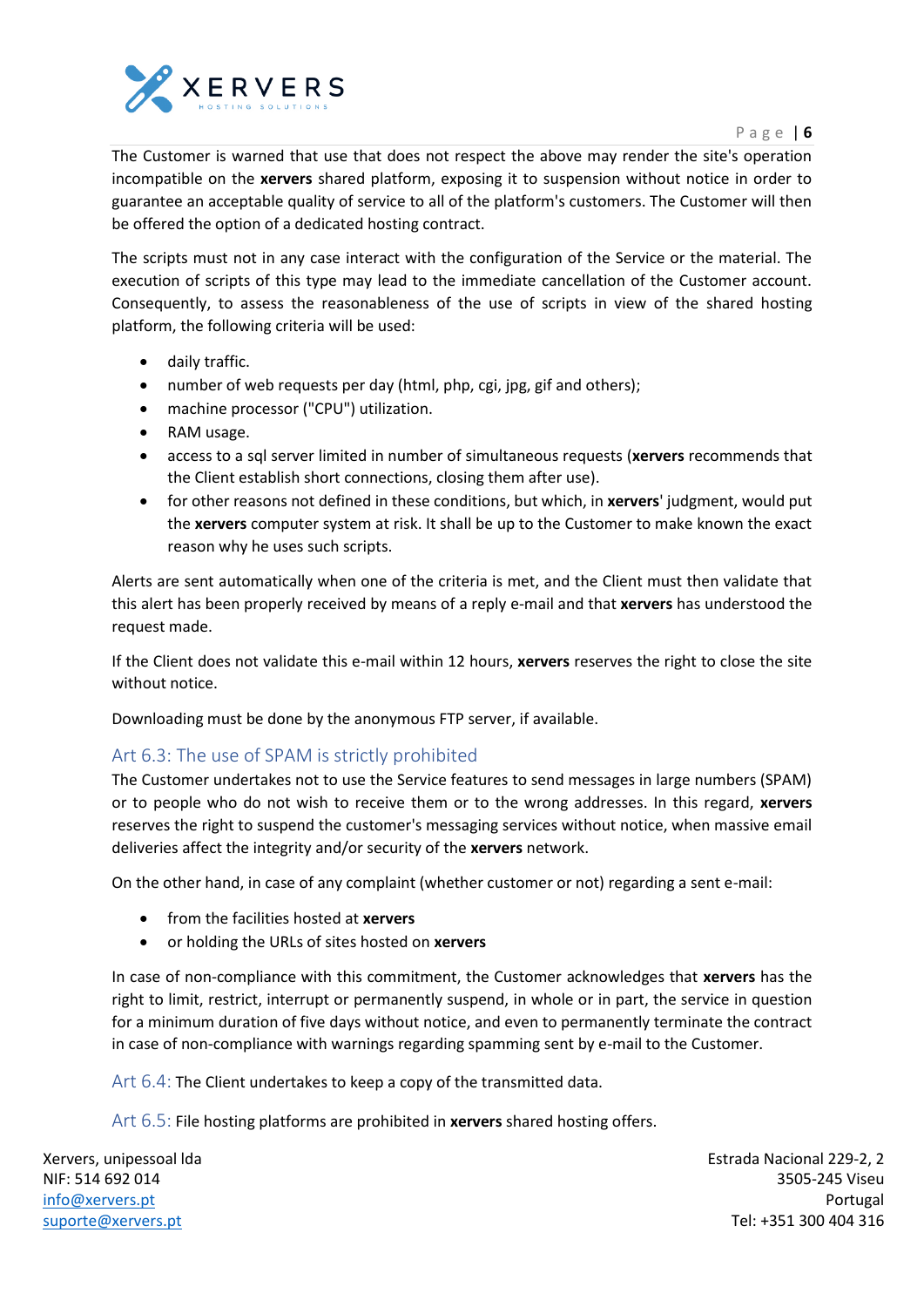

P a g e | **6**

The Customer is warned that use that does not respect the above may render the site's operation incompatible on the **xervers** shared platform, exposing it to suspension without notice in order to guarantee an acceptable quality of service to all of the platform's customers. The Customer will then be offered the option of a dedicated hosting contract.

The scripts must not in any case interact with the configuration of the Service or the material. The execution of scripts of this type may lead to the immediate cancellation of the Customer account. Consequently, to assess the reasonableness of the use of scripts in view of the shared hosting platform, the following criteria will be used:

- daily traffic.
- number of web requests per day (html, php, cgi, jpg, gif and others);
- machine processor ("CPU") utilization.
- RAM usage.
- access to a sql server limited in number of simultaneous requests (**xervers** recommends that the Client establish short connections, closing them after use).
- for other reasons not defined in these conditions, but which, in **xervers**' judgment, would put the **xervers** computer system at risk. It shall be up to the Customer to make known the exact reason why he uses such scripts.

Alerts are sent automatically when one of the criteria is met, and the Client must then validate that this alert has been properly received by means of a reply e-mail and that **xervers** has understood the request made.

If the Client does not validate this e-mail within 12 hours, **xervers** reserves the right to close the site without notice.

Downloading must be done by the anonymous FTP server, if available.

#### <span id="page-5-0"></span>Art 6.3: The use of SPAM is strictly prohibited

The Customer undertakes not to use the Service features to send messages in large numbers (SPAM) or to people who do not wish to receive them or to the wrong addresses. In this regard, **xervers** reserves the right to suspend the customer's messaging services without notice, when massive email deliveries affect the integrity and/or security of the **xervers** network.

On the other hand, in case of any complaint (whether customer or not) regarding a sent e-mail:

- from the facilities hosted at **xervers**
- or holding the URLs of sites hosted on **xervers**

In case of non-compliance with this commitment, the Customer acknowledges that **xervers** has the right to limit, restrict, interrupt or permanently suspend, in whole or in part, the service in question for a minimum duration of five days without notice, and even to permanently terminate the contract in case of non-compliance with warnings regarding spamming sent by e-mail to the Customer.

<span id="page-5-1"></span>Art 6.4: The Client undertakes to keep a copy of the transmitted data.

<span id="page-5-2"></span>Art 6.5: File hosting platforms are prohibited in **xervers** shared hosting offers.

Xervers, unipessoal lda NIF: 514 692 014 [info@xervers.pt](mailto:info@xervers.pt) [suporte@xervers.pt](mailto:suporte@xervers.pt)